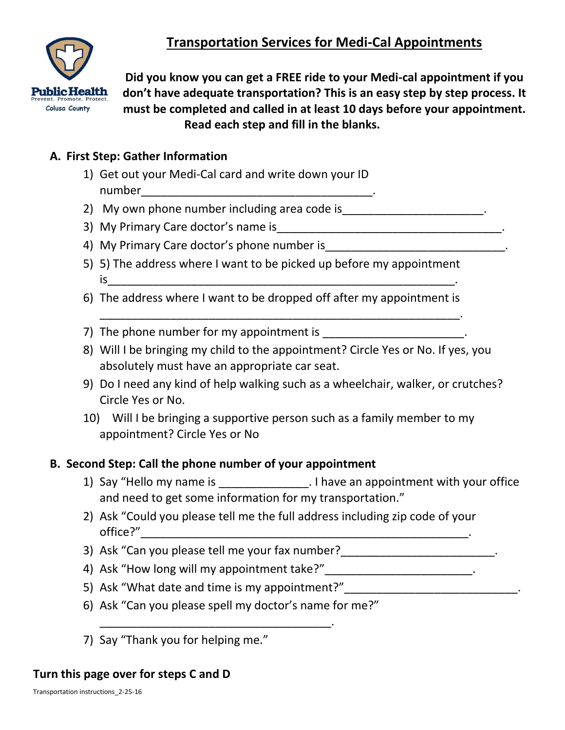# **Transportation Services for Medi-Cal Appointments**



**Did you know you can get a FREE ride to your Medi-cal appointment if you don't have adequate transportation? This is an easy step by step process. It must be completed and called in at least 10 days before your appointment. Read each step and fill in the blanks.**

### **A. First Step: Gather Information**

- 1) Get out your Medi-Cal card and write down your ID  $number$   $\qquad \qquad \ldots$
- 2) My own phone number including area code is\_\_\_\_\_\_\_\_\_\_\_\_\_\_\_\_\_\_\_\_\_\_\_\_.
- 3) My Primary Care doctor's name is\_\_\_\_\_\_\_\_\_\_\_\_\_\_\_\_\_\_\_\_\_\_\_\_\_\_\_\_\_\_\_\_\_\_\_.
- 4) My Primary Care doctor's phone number is
- 5) 5) The address where I want to be picked up before my appointment  $is$
- 6) The address where I want to be dropped off after my appointment is

\_\_\_\_\_\_\_\_\_\_\_\_\_\_\_\_\_\_\_\_\_\_\_\_\_\_\_\_\_\_\_\_\_\_\_\_\_\_\_\_\_\_\_\_\_\_\_\_\_\_\_\_\_\_\_\_.

- 7) The phone number for my appointment is
- 8) Will I be bringing my child to the appointment? Circle Yes or No. If yes, you absolutely must have an appropriate car seat.
- 9) Do I need any kind of help walking such as a wheelchair, walker, or crutches? Circle Yes or No.
- 10) Will I be bringing a supportive person such as a family member to my appointment? Circle Yes or No

#### **B. Second Step: Call the phone number of your appointment**

- 1) Say "Hello my name is Thave an appointment with your office and need to get some information for my transportation."
- 2) Ask "Could you please tell me the full address including zip code of your office?"
- 3) Ask "Can you please tell me your fax number?
- 4) Ask "How long will my appointment take?" \_\_\_\_\_\_\_\_\_\_\_\_\_\_\_\_\_\_\_\_\_\_\_\_\_.
- 5) Ask "What date and time is my appointment?"
- 6) Ask "Can you please spell my doctor's name for me?"

\_\_\_\_\_\_\_\_\_\_\_\_\_\_\_\_\_\_\_\_\_\_\_\_\_\_\_\_\_\_\_\_\_\_\_\_.

7) Say "Thank you for helping me."

#### **Turn this page over for steps C and D**